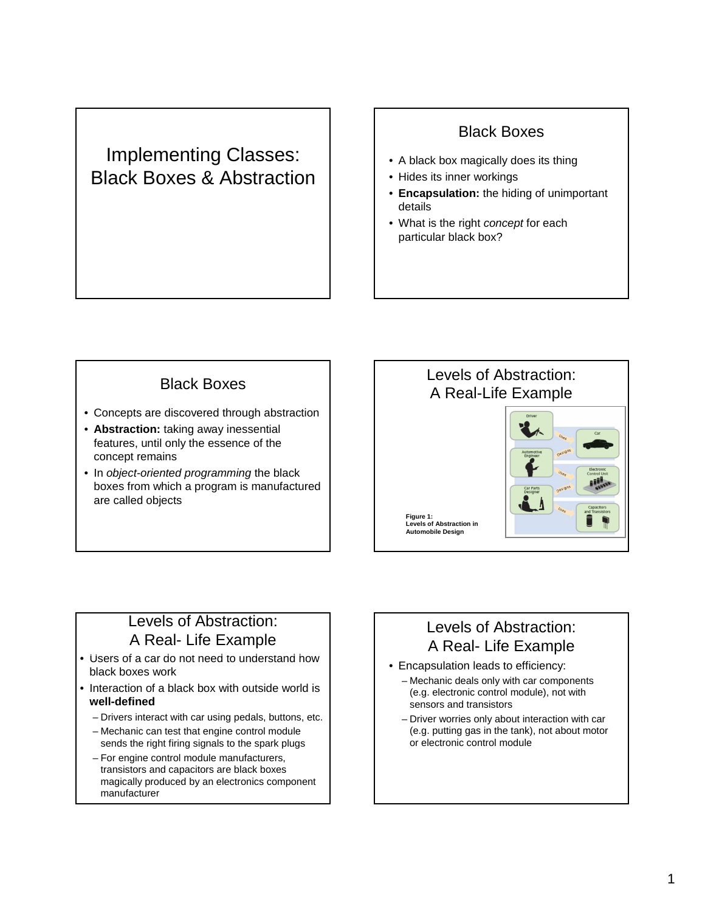# Implementing Classes: Black Boxes & Abstraction

### Black Boxes

- A black box magically does its thing
- Hides its inner workings
- **Encapsulation:** the hiding of unimportant details
- What is the right concept for each particular black box?

## Black Boxes

- Concepts are discovered through abstraction
- **Abstraction:** taking away inessential features, until only the essence of the concept remains
- In object-oriented programming the black boxes from which a program is manufactured are called objects



#### Levels of Abstraction: A Real- Life Example

- Users of a car do not need to understand how black boxes work
- Interaction of a black box with outside world is **well-defined**
	- Drivers interact with car using pedals, buttons, etc.
	- Mechanic can test that engine control module sends the right firing signals to the spark plugs
	- For engine control module manufacturers, transistors and capacitors are black boxes magically produced by an electronics component manufacturer

## Levels of Abstraction: A Real- Life Example

- Encapsulation leads to efficiency:
	- Mechanic deals only with car components (e.g. electronic control module), not with sensors and transistors
	- Driver worries only about interaction with car (e.g. putting gas in the tank), not about motor or electronic control module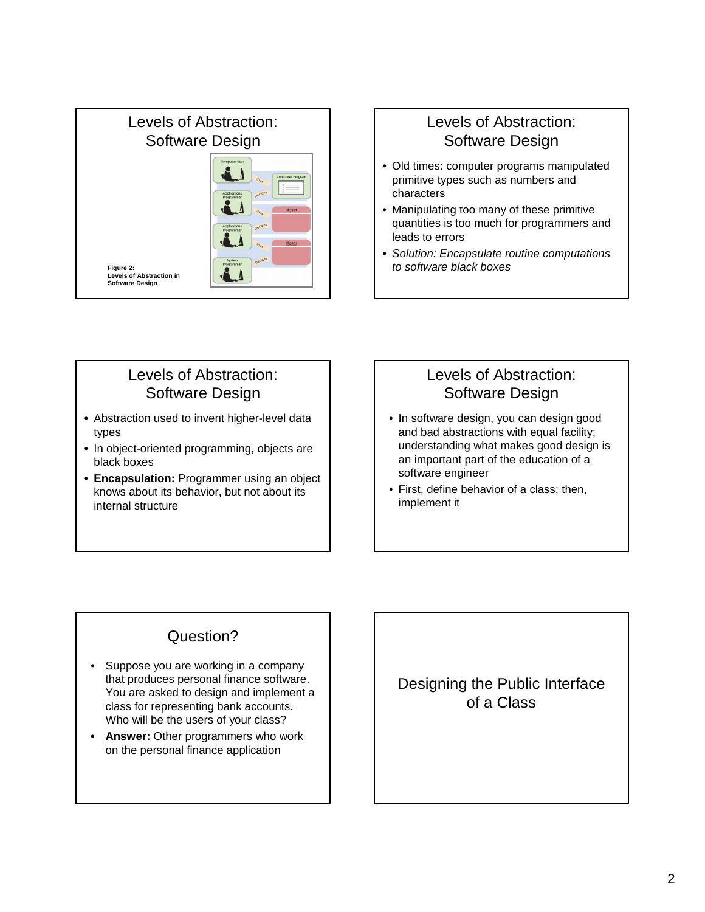

#### Levels of Abstraction: Software Design

- Old times: computer programs manipulated primitive types such as numbers and characters
- Manipulating too many of these primitive quantities is too much for programmers and leads to errors
- Solution: Encapsulate routine computations to software black boxes

#### Levels of Abstraction: Software Design

- Abstraction used to invent higher-level data types
- In object-oriented programming, objects are black boxes
- **Encapsulation:** Programmer using an object knows about its behavior, but not about its internal structure

## Levels of Abstraction: Software Design

- In software design, you can design good and bad abstractions with equal facility; understanding what makes good design is an important part of the education of a software engineer
- First, define behavior of a class; then, implement it

## Question?

- Suppose you are working in a company that produces personal finance software. You are asked to design and implement a class for representing bank accounts. Who will be the users of your class?
- **Answer:** Other programmers who work on the personal finance application

Designing the Public Interface of a Class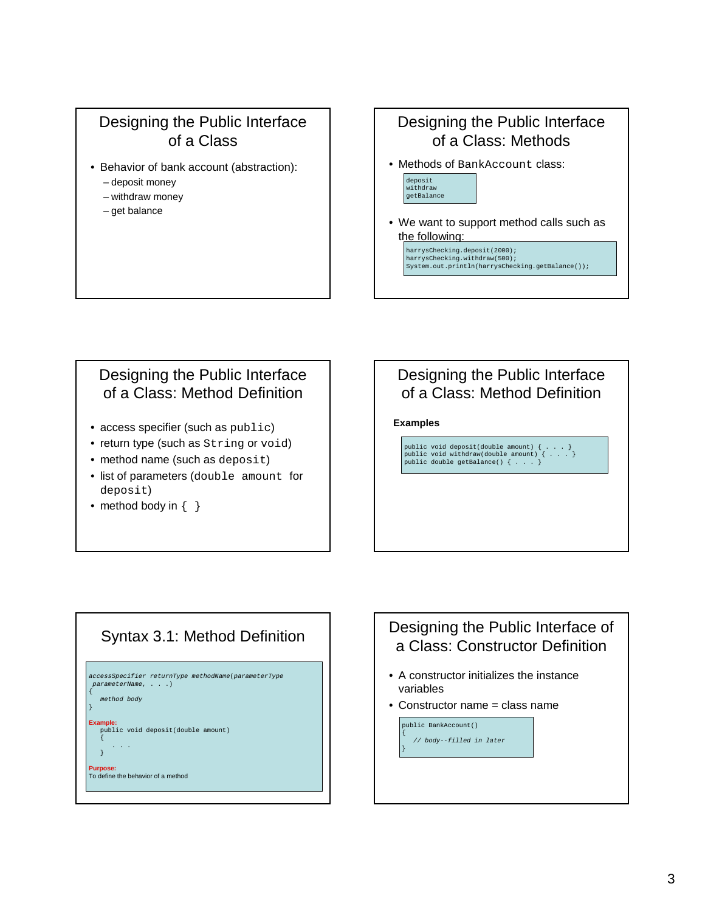#### Designing the Public Interface of a Class

- Behavior of bank account (abstraction):
	- deposit money
	- withdraw money
	- get balance

#### Designing the Public Interface of a Class: Methods

• Methods of BankAccount class:

harrysChecking.deposit(2000); harrysChecking.withdraw(500);



• We want to support method calls such as the following:

System.out.println(harrysChecking.getBalance());

### Designing the Public Interface of a Class: Method Definition

- access specifier (such as public)
- return type (such as String or void)
- method name (such as deposit)
- list of parameters (double amount for deposit)
- method body in  $\{ \}$

#### Designing the Public Interface of a Class: Method Definition

#### **Examples**

public void deposit(double amount) { . . . } public void withdraw(double amount) { . . . } public double getBalance() { . . . }



## Designing the Public Interface of a Class: Constructor Definition • A constructor initializes the instance variables • Constructor name = class name public BankAccount()